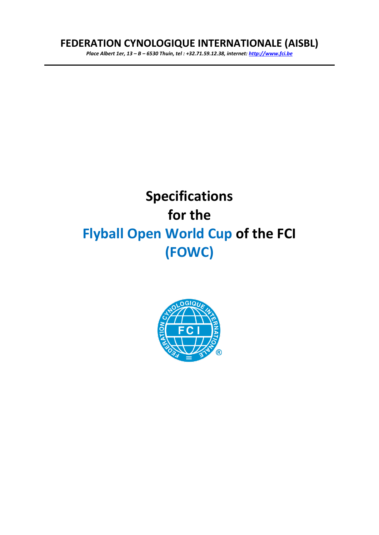# **FEDERATION CYNOLOGIQUE INTERNATIONALE (AISBL)**

*Place Albert 1er, 13 – B – 6530 Thuin, tel : +32.71.59.12.38, internet: [http://www.fci.be](http://www.fci.be/)*

# **Specifications for the Flyball Open World Cup of the FCI (FOWC)**

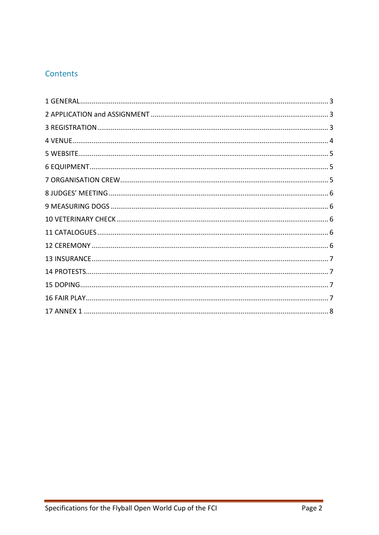## Contents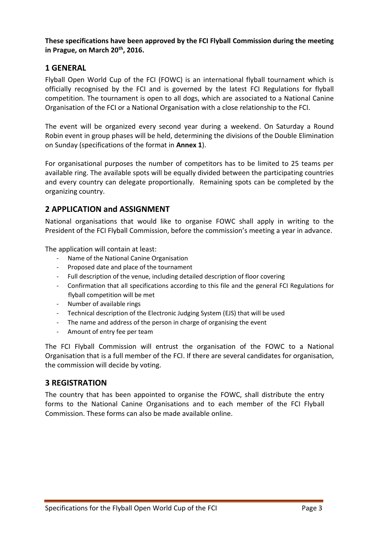**These specifications have been approved by the FCI Flyball Commission during the meeting in Prague, on March 20th , 2016.** 

#### <span id="page-2-0"></span>**1 GENERAL**

Flyball Open World Cup of the FCI (FOWC) is an international flyball tournament which is officially recognised by the FCI and is governed by the latest FCI Regulations for flyball competition. The tournament is open to all dogs, which are associated to a National Canine Organisation of the FCI or a National Organisation with a close relationship to the FCI.

The event will be organized every second year during a weekend. On Saturday a Round Robin event in group phases will be held, determining the divisions of the Double Elimination on Sunday (specifications of the format in **Annex 1**).

For organisational purposes the number of competitors has to be limited to 25 teams per available ring. The available spots will be equally divided between the participating countries and every country can delegate proportionally. Remaining spots can be completed by the organizing country.

#### <span id="page-2-1"></span>**2 APPLICATION and ASSIGNMENT**

National organisations that would like to organise FOWC shall apply in writing to the President of the FCI Flyball Commission, before the commission's meeting a year in advance.

The application will contain at least:

- Name of the National Canine Organisation
- Proposed date and place of the tournament
- Full description of the venue, including detailed description of floor covering
- Confirmation that all specifications according to this file and the general FCI Regulations for flyball competition will be met
- Number of available rings
- Technical description of the Electronic Judging System (EJS) that will be used
- The name and address of the person in charge of organising the event
- Amount of entry fee per team

The FCI Flyball Commission will entrust the organisation of the FOWC to a National Organisation that is a full member of the FCI. If there are several candidates for organisation, the commission will decide by voting.

#### <span id="page-2-2"></span>**3 REGISTRATION**

The country that has been appointed to organise the FOWC, shall distribute the entry forms to the National Canine Organisations and to each member of the FCI Flyball Commission. These forms can also be made available online.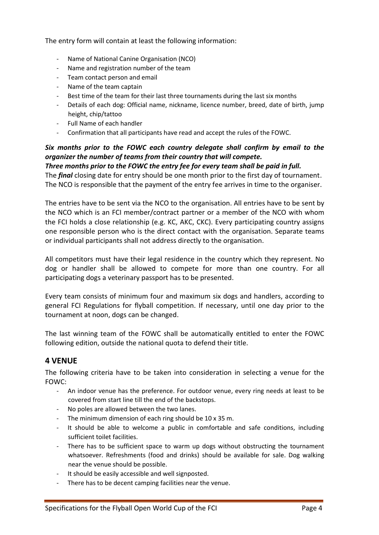The entry form will contain at least the following information:

- Name of National Canine Organisation (NCO)
- Name and registration number of the team
- Team contact person and email
- Name of the team captain
- Best time of the team for their last three tournaments during the last six months
- Details of each dog: Official name, nickname, licence number, breed, date of birth, jump height, chip/tattoo
- Full Name of each handler
- Confirmation that all participants have read and accept the rules of the FOWC.

#### *Six months prior to the FOWC each country delegate shall confirm by email to the organizer the number of teams from their country that will compete.*

*Three months prior to the FOWC the entry fee for every team shall be paid in full.* The *final* closing date for entry should be one month prior to the first day of tournament. The NCO is responsible that the payment of the entry fee arrives in time to the organiser.

The entries have to be sent via the NCO to the organisation. All entries have to be sent by the NCO which is an FCI member/contract partner or a member of the NCO with whom the FCI holds a close relationship (e.g. KC, AKC, CKC). Every participating country assigns one responsible person who is the direct contact with the organisation. Separate teams or individual participants shall not address directly to the organisation.

All competitors must have their legal residence in the country which they represent. No dog or handler shall be allowed to compete for more than one country. For all participating dogs a veterinary passport has to be presented.

Every team consists of minimum four and maximum six dogs and handlers, according to general FCI Regulations for flyball competition. If necessary, until one day prior to the tournament at noon, dogs can be changed.

The last winning team of the FOWC shall be automatically entitled to enter the FOWC following edition, outside the national quota to defend their title.

## <span id="page-3-0"></span>**4 VENUE**

The following criteria have to be taken into consideration in selecting a venue for the FOWC:

- An indoor venue has the preference. For outdoor venue, every ring needs at least to be covered from start line till the end of the backstops.
- No poles are allowed between the two lanes.
- The minimum dimension of each ring should be 10 x 35 m.
- It should be able to welcome a public in comfortable and safe conditions, including sufficient toilet facilities.
- There has to be sufficient space to warm up dogs without obstructing the tournament whatsoever. Refreshments (food and drinks) should be available for sale. Dog walking near the venue should be possible.
- It should be easily accessible and well signposted.
- There has to be decent camping facilities near the venue.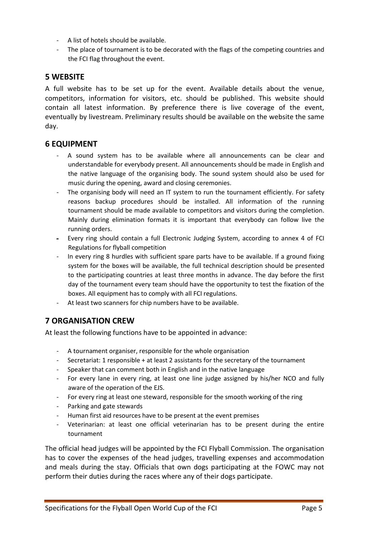- A list of hotels should be available.
- The place of tournament is to be decorated with the flags of the competing countries and the FCI flag throughout the event.

#### <span id="page-4-0"></span>**5 WEBSITE**

A full website has to be set up for the event. Available details about the venue, competitors, information for visitors, etc. should be published. This website should contain all latest information. By preference there is live coverage of the event, eventually by livestream. Preliminary results should be available on the website the same day.

#### <span id="page-4-1"></span>**6 EQUIPMENT**

- A sound system has to be available where all announcements can be clear and understandable for everybody present. All announcements should be made in English and the native language of the organising body. The sound system should also be used for music during the opening, award and closing ceremonies.
- The organising body will need an IT system to run the tournament efficiently. For safety reasons backup procedures should be installed. All information of the running tournament should be made available to competitors and visitors during the completion. Mainly during elimination formats it is important that everybody can follow live the running orders.
- Every ring should contain a full Electronic Judging System, according to annex 4 of FCI Regulations for flyball competition
- In every ring 8 hurdles with sufficient spare parts have to be available. If a ground fixing system for the boxes will be available, the full technical description should be presented to the participating countries at least three months in advance. The day before the first day of the tournament every team should have the opportunity to test the fixation of the boxes. All equipment has to comply with all FCI regulations.
- At least two scanners for chip numbers have to be available.

## <span id="page-4-2"></span>**7 ORGANISATION CREW**

At least the following functions have to be appointed in advance:

- A tournament organiser, responsible for the whole organisation
- Secretariat: 1 responsible + at least 2 assistants for the secretary of the tournament
- Speaker that can comment both in English and in the native language
- For every lane in every ring, at least one line judge assigned by his/her NCO and fully aware of the operation of the EJS.
- For every ring at least one steward, responsible for the smooth working of the ring
- Parking and gate stewards
- Human first aid resources have to be present at the event premises
- Veterinarian: at least one official veterinarian has to be present during the entire tournament

The official head judges will be appointed by the FCI Flyball Commission. The organisation has to cover the expenses of the head judges, travelling expenses and accommodation and meals during the stay. Officials that own dogs participating at the FOWC may not perform their duties during the races where any of their dogs participate.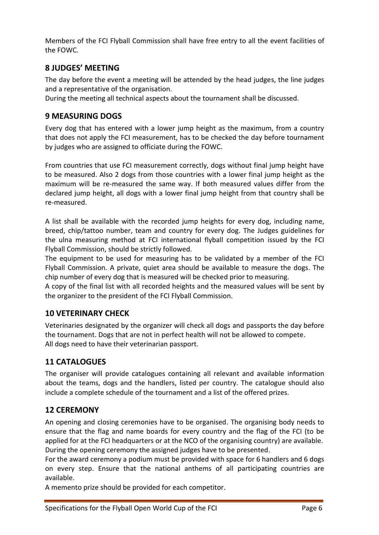Members of the FCI Flyball Commission shall have free entry to all the event facilities of the FOWC.

#### <span id="page-5-0"></span>**8 JUDGES' MEETING**

The day before the event a meeting will be attended by the head judges, the line judges and a representative of the organisation.

During the meeting all technical aspects about the tournament shall be discussed.

#### <span id="page-5-1"></span>**9 MEASURING DOGS**

Every dog that has entered with a lower jump height as the maximum, from a country that does not apply the FCI measurement, has to be checked the day before tournament by judges who are assigned to officiate during the FOWC.

From countries that use FCI measurement correctly, dogs without final jump height have to be measured. Also 2 dogs from those countries with a lower final jump height as the maximum will be re-measured the same way. If both measured values differ from the declared jump height, all dogs with a lower final jump height from that country shall be re-measured.

A list shall be available with the recorded jump heights for every dog, including name, breed, chip/tattoo number, team and country for every dog. The Judges guidelines for the ulna measuring method at FCI international flyball competition issued by the FCI Flyball Commission, should be strictly followed.

The equipment to be used for measuring has to be validated by a member of the FCI Flyball Commission. A private, quiet area should be available to measure the dogs. The chip number of every dog that is measured will be checked prior to measuring.

A copy of the final list with all recorded heights and the measured values will be sent by the organizer to the president of the FCI Flyball Commission.

## <span id="page-5-2"></span>**10 VETERINARY CHECK**

Veterinaries designated by the organizer will check all dogs and passports the day before the tournament. Dogs that are not in perfect health will not be allowed to compete. All dogs need to have their veterinarian passport.

## <span id="page-5-3"></span>**11 CATALOGUES**

The organiser will provide catalogues containing all relevant and available information about the teams, dogs and the handlers, listed per country. The catalogue should also include a complete schedule of the tournament and a list of the offered prizes.

#### <span id="page-5-4"></span>**12 CEREMONY**

An opening and closing ceremonies have to be organised. The organising body needs to ensure that the flag and name boards for every country and the flag of the FCI (to be applied for at the FCI headquarters or at the NCO of the organising country) are available. During the opening ceremony the assigned judges have to be presented.

For the award ceremony a podium must be provided with space for 6 handlers and 6 dogs on every step. Ensure that the national anthems of all participating countries are available.

A memento prize should be provided for each competitor.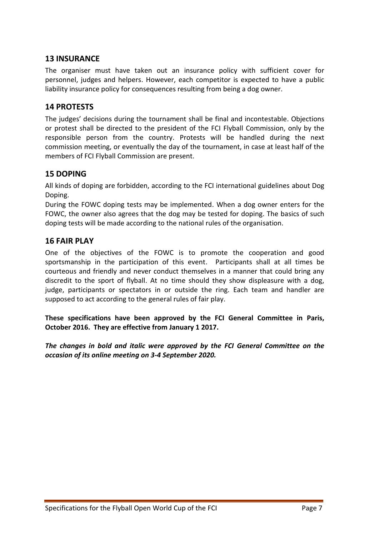#### <span id="page-6-0"></span>**13 INSURANCE**

The organiser must have taken out an insurance policy with sufficient cover for personnel, judges and helpers. However, each competitor is expected to have a public liability insurance policy for consequences resulting from being a dog owner.

#### <span id="page-6-1"></span>**14 PROTESTS**

The judges' decisions during the tournament shall be final and incontestable. Objections or protest shall be directed to the president of the FCI Flyball Commission, only by the responsible person from the country. Protests will be handled during the next commission meeting, or eventually the day of the tournament, in case at least half of the members of FCI Flyball Commission are present.

#### <span id="page-6-2"></span>**15 DOPING**

All kinds of doping are forbidden, according to the FCI international guidelines about Dog Doping.

During the FOWC doping tests may be implemented. When a dog owner enters for the FOWC, the owner also agrees that the dog may be tested for doping. The basics of such doping tests will be made according to the national rules of the organisation.

#### <span id="page-6-3"></span>**16 FAIR PLAY**

One of the objectives of the FOWC is to promote the cooperation and good sportsmanship in the participation of this event. Participants shall at all times be courteous and friendly and never conduct themselves in a manner that could bring any discredit to the sport of flyball. At no time should they show displeasure with a dog, judge, participants or spectators in or outside the ring. Each team and handler are supposed to act according to the general rules of fair play.

**These specifications have been approved by the FCI General Committee in Paris, October 2016. They are effective from January 1 2017.**

*The changes in bold and italic were approved by the FCI General Committee on the occasion of its online meeting on 3-4 September 2020.*